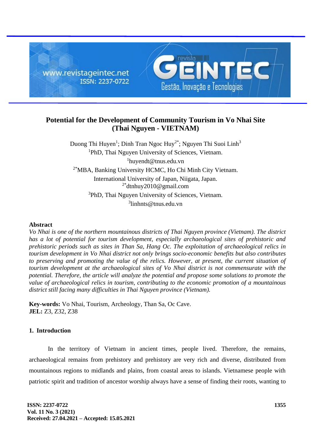

# **Potential for the Development of Community Tourism in Vo Nhai Site (Thai Nguyen - VIETNAM)**

Duong Thi Huyen<sup>1</sup>; Dinh Tran Ngoc Huy<sup>2\*</sup>; Nguyen Thi Suoi Linh<sup>3</sup> <sup>1</sup>PhD, Thai Nguyen University of Sciences, Vietnam. 1 huyendt@tnus.edu.vn 2\*MBA, Banking University HCMC, Ho Chi Minh City Vietnam. International University of Japan, Niigata, Japan. 2\* dtnhuy2010@gmail.com <sup>3</sup>PhD, Thai Nguyen University of Sciences, Vietnam. 3 linhnts@tnus.edu.vn

#### **Abstract**

*Vo Nhai is one of the northern mountainous districts of Thai Nguyen province (Vietnam). The district has a lot of potential for tourism development, especially archaeological sites of prehistoric and prehistoric periods such as sites in Than Sa, Hang Oc. The exploitation of archaeological relics in tourism development in Vo Nhai district not only brings socio-economic benefits but also contributes to preserving and promoting the value of the relics. However, at present, the current situation of tourism development at the archaeological sites of Vo Nhai district is not commensurate with the potential. Therefore, the article will analyze the potential and propose some solutions to promote the value of archaeological relics in tourism, contributing to the economic promotion of a mountainous district still facing many difficulties in Thai Nguyen province (Vietnam).*

**Key-words:** Vo Nhai, Tourism, Archeology, Than Sa, Oc Cave. **JEL:** Z3, Z32, Z38

# **1. Introduction**

In the territory of Vietnam in ancient times, people lived. Therefore, the remains, archaeological remains from prehistory and prehistory are very rich and diverse, distributed from mountainous regions to midlands and plains, from coastal areas to islands. Vietnamese people with patriotic spirit and tradition of ancestor worship always have a sense of finding their roots, wanting to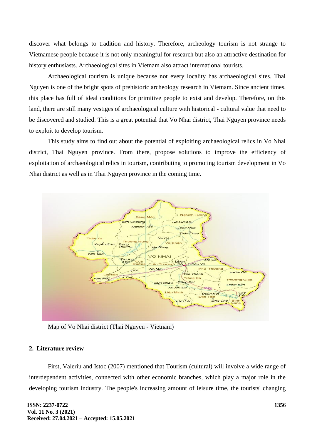discover what belongs to tradition and history. Therefore, archeology tourism is not strange to Vietnamese people because it is not only meaningful for research but also an attractive destination for history enthusiasts. Archaeological sites in Vietnam also attract international tourists.

Archaeological tourism is unique because not every locality has archaeological sites. Thai Nguyen is one of the bright spots of prehistoric archeology research in Vietnam. Since ancient times, this place has full of ideal conditions for primitive people to exist and develop. Therefore, on this land, there are still many vestiges of archaeological culture with historical - cultural value that need to be discovered and studied. This is a great potential that Vo Nhai district, Thai Nguyen province needs to exploit to develop tourism.

This study aims to find out about the potential of exploiting archaeological relics in Vo Nhai district, Thai Nguyen province. From there, propose solutions to improve the efficiency of exploitation of archaeological relics in tourism, contributing to promoting tourism development in Vo Nhai district as well as in Thai Nguyen province in the coming time.



Map of Vo Nhai district (Thai Nguyen - Vietnam)

# **2. Literature review**

First, Valeriu and Istoc (2007) mentioned that Tourism (cultural) will involve a wide range of interdependent activities, connected with other economic branches, which play a major role in the developing tourism industry. The people's increasing amount of leisure time, the tourists' changing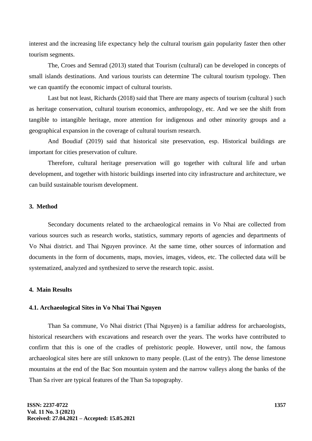interest and the increasing life expectancy help the cultural tourism gain popularity faster then other tourism segments.

The, Croes and Semrad (2013) stated that Tourism (cultural) can be developed in concepts of small islands destinations. And various tourists can determine The cultural tourism typology. Then we can quantify the economic impact of cultural tourists.

Last but not least, Richards (2018) said that There are many aspects of tourism (cultural ) such as heritage conservation, cultural tourism economics, anthropology, etc. And we see the shift from tangible to intangible heritage, more attention for indigenous and other minority groups and a geographical expansion in the coverage of cultural tourism research.

And Boudiaf (2019) said that historical site preservation, esp. Historical buildings are important for cities preservation of culture.

Therefore, cultural heritage preservation will go together with cultural life and urban development, and together with historic buildings inserted into city infrastructure and architecture, we can build sustainable tourism development.

### **3. Method**

Secondary documents related to the archaeological remains in Vo Nhai are collected from various sources such as research works, statistics, summary reports of agencies and departments of Vo Nhai district. and Thai Nguyen province. At the same time, other sources of information and documents in the form of documents, maps, movies, images, videos, etc. The collected data will be systematized, analyzed and synthesized to serve the research topic. assist.

## **4. Main Results**

#### **4.1. Archaeological Sites in Vo Nhai Thai Nguyen**

Than Sa commune, Vo Nhai district (Thai Nguyen) is a familiar address for archaeologists, historical researchers with excavations and research over the years. The works have contributed to confirm that this is one of the cradles of prehistoric people. However, until now, the famous archaeological sites here are still unknown to many people. (Last of the entry). The dense limestone mountains at the end of the Bac Son mountain system and the narrow valleys along the banks of the Than Sa river are typical features of the Than Sa topography.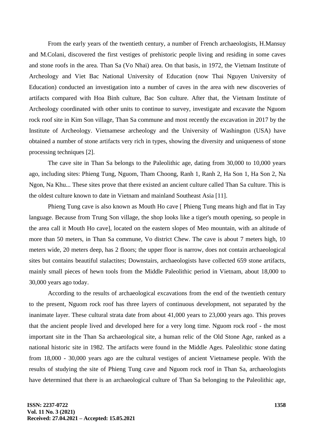From the early years of the twentieth century, a number of French archaeologists, H.Mansuy and M.Colani, discovered the first vestiges of prehistoric people living and residing in some caves and stone roofs in the area. Than Sa (Vo Nhai) area. On that basis, in 1972, the Vietnam Institute of Archeology and Viet Bac National University of Education (now Thai Nguyen University of Education) conducted an investigation into a number of caves in the area with new discoveries of artifacts compared with Hoa Binh culture, Bac Son culture. After that, the Vietnam Institute of Archeology coordinated with other units to continue to survey, investigate and excavate the Nguom rock roof site in Kim Son village, Than Sa commune and most recently the excavation in 2017 by the Institute of Archeology. Vietnamese archeology and the University of Washington (USA) have obtained a number of stone artifacts very rich in types, showing the diversity and uniqueness of stone processing techniques [2].

The cave site in Than Sa belongs to the Paleolithic age, dating from 30,000 to 10,000 years ago, including sites: Phieng Tung, Nguom, Tham Choong, Ranh 1, Ranh 2, Ha Son 1, Ha Son 2, Na Ngon, Na Khu... These sites prove that there existed an ancient culture called Than Sa culture. This is the oldest culture known to date in Vietnam and mainland Southeast Asia [11].

Phieng Tung cave is also known as Mouth Ho cave [ Phieng Tung means high and flat in Tay language. Because from Trung Son village, the shop looks like a tiger's mouth opening, so people in the area call it Mouth Ho cave], located on the eastern slopes of Meo mountain, with an altitude of more than 50 meters, in Than Sa commune, Vo district Chew. The cave is about 7 meters high, 10 meters wide, 20 meters deep, has 2 floors; the upper floor is narrow, does not contain archaeological sites but contains beautiful stalactites; Downstairs, archaeologists have collected 659 stone artifacts, mainly small pieces of hewn tools from the Middle Paleolithic period in Vietnam, about 18,000 to 30,000 years ago today.

According to the results of archaeological excavations from the end of the twentieth century to the present, Nguom rock roof has three layers of continuous development, not separated by the inanimate layer. These cultural strata date from about 41,000 years to 23,000 years ago. This proves that the ancient people lived and developed here for a very long time. Nguom rock roof - the most important site in the Than Sa archaeological site, a human relic of the Old Stone Age, ranked as a national historic site in 1982. The artifacts were found in the Middle Ages. Paleolithic stone dating from 18,000 - 30,000 years ago are the cultural vestiges of ancient Vietnamese people. With the results of studying the site of Phieng Tung cave and Nguom rock roof in Than Sa, archaeologists have determined that there is an archaeological culture of Than Sa belonging to the Paleolithic age,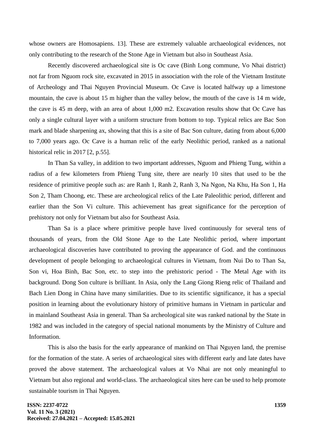whose owners are Homosapiens. 13]. These are extremely valuable archaeological evidences, not only contributing to the research of the Stone Age in Vietnam but also in Southeast Asia.

Recently discovered archaeological site is Oc cave (Binh Long commune, Vo Nhai district) not far from Nguom rock site, excavated in 2015 in association with the role of the Vietnam Institute of Archeology and Thai Nguyen Provincial Museum. Oc Cave is located halfway up a limestone mountain, the cave is about 15 m higher than the valley below, the mouth of the cave is 14 m wide, the cave is 45 m deep, with an area of about 1,000 m2. Excavation results show that Oc Cave has only a single cultural layer with a uniform structure from bottom to top. Typical relics are Bac Son mark and blade sharpening ax, showing that this is a site of Bac Son culture, dating from about 6,000 to 7,000 years ago. Oc Cave is a human relic of the early Neolithic period, ranked as a national historical relic in 2017 [2, p.55].

In Than Sa valley, in addition to two important addresses, Nguom and Phieng Tung, within a radius of a few kilometers from Phieng Tung site, there are nearly 10 sites that used to be the residence of primitive people such as: are Ranh 1, Ranh 2, Ranh 3, Na Ngon, Na Khu, Ha Son 1, Ha Son 2, Tham Choong, etc. These are archeological relics of the Late Paleolithic period, different and earlier than the Son Vi culture. This achievement has great significance for the perception of prehistory not only for Vietnam but also for Southeast Asia.

Than Sa is a place where primitive people have lived continuously for several tens of thousands of years, from the Old Stone Age to the Late Neolithic period, where important archaeological discoveries have contributed to proving the appearance of God. and the continuous development of people belonging to archaeological cultures in Vietnam, from Nui Do to Than Sa, Son vi, Hoa Binh, Bac Son, etc. to step into the prehistoric period - The Metal Age with its background. Dong Son culture is brilliant. In Asia, only the Lang Giong Rieng relic of Thailand and Bach Lien Dong in China have many similarities. Due to its scientific significance, it has a special position in learning about the evolutionary history of primitive humans in Vietnam in particular and in mainland Southeast Asia in general. Than Sa archeological site was ranked national by the State in 1982 and was included in the category of special national monuments by the Ministry of Culture and Information.

This is also the basis for the early appearance of mankind on Thai Nguyen land, the premise for the formation of the state. A series of archaeological sites with different early and late dates have proved the above statement. The archaeological values at Vo Nhai are not only meaningful to Vietnam but also regional and world-class. The archaeological sites here can be used to help promote sustainable tourism in Thai Nguyen.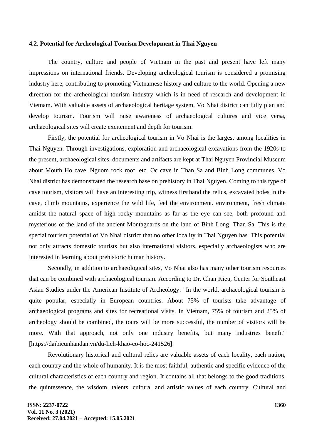#### **4.2. Potential for Archeological Tourism Development in Thai Nguyen**

The country, culture and people of Vietnam in the past and present have left many impressions on international friends. Developing archeological tourism is considered a promising industry here, contributing to promoting Vietnamese history and culture to the world. Opening a new direction for the archeological tourism industry which is in need of research and development in Vietnam. With valuable assets of archaeological heritage system, Vo Nhai district can fully plan and develop tourism. Tourism will raise awareness of archaeological cultures and vice versa, archaeological sites will create excitement and depth for tourism.

Firstly, the potential for archeological tourism in Vo Nhai is the largest among localities in Thai Nguyen. Through investigations, exploration and archaeological excavations from the 1920s to the present, archaeological sites, documents and artifacts are kept at Thai Nguyen Provincial Museum about Mouth Ho cave, Nguom rock roof, etc. Oc cave in Than Sa and Binh Long communes, Vo Nhai district has demonstrated the research base on prehistory in Thai Nguyen. Coming to this type of cave tourism, visitors will have an interesting trip, witness firsthand the relics, excavated holes in the cave, climb mountains, experience the wild life, feel the environment. environment, fresh climate amidst the natural space of high rocky mountains as far as the eye can see, both profound and mysterious of the land of the ancient Montagnards on the land of Binh Long, Than Sa. This is the special tourism potential of Vo Nhai district that no other locality in Thai Nguyen has. This potential not only attracts domestic tourists but also international visitors, especially archaeologists who are interested in learning about prehistoric human history.

Secondly, in addition to archaeological sites, Vo Nhai also has many other tourism resources that can be combined with archaeological tourism. According to Dr. Chan Kieu, Center for Southeast Asian Studies under the American Institute of Archeology: "In the world, archaeological tourism is quite popular, especially in European countries. About 75% of tourists take advantage of archaeological programs and sites for recreational visits. In Vietnam, 75% of tourism and 25% of archeology should be combined, the tours will be more successful, the number of visitors will be more. With that approach, not only one industry benefits, but many industries benefit" [https://daibieunhandan.vn/du-lich-khao-co-hoc-241526].

Revolutionary historical and cultural relics are valuable assets of each locality, each nation, each country and the whole of humanity. It is the most faithful, authentic and specific evidence of the cultural characteristics of each country and region. It contains all that belongs to the good traditions, the quintessence, the wisdom, talents, cultural and artistic values of each country. Cultural and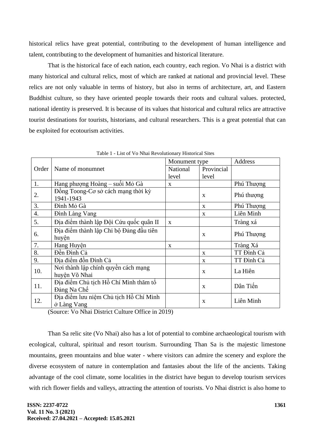historical relics have great potential, contributing to the development of human intelligence and talent, contributing to the development of humanities and historical literature.

That is the historical face of each nation, each country, each region. Vo Nhai is a district with many historical and cultural relics, most of which are ranked at national and provincial level. These relics are not only valuable in terms of history, but also in terms of architecture, art, and Eastern Buddhist culture, so they have oriented people towards their roots and cultural values. protected, national identity is preserved. It is because of its values that historical and cultural relics are attractive tourist destinations for tourists, historians, and cultural researchers. This is a great potential that can be exploited for ecotourism activities.

|       |                                         | Monument type |              | Address    |
|-------|-----------------------------------------|---------------|--------------|------------|
| Order | Name of monumnet                        | National      | Provincial   |            |
|       |                                         | level         | level        |            |
| 1.    | Hang phượng Hoàng – suối Mỏ Gà          | X             |              | Phú Thượng |
| 2.    | Đồng Toong-Cơ sở cách mạng thời kỳ      |               | X            | Phú thượng |
|       | 1941-1943                               |               |              |            |
| 3.    | Đình Mỏ Gà                              |               | $\mathbf{x}$ | Phú Thượng |
| 4.    | <b>Đình Làng Vang</b>                   |               | X            | Liên Minh  |
| 5.    | Địa điểm thành lập Đội Cứu quốc quân II | $\mathbf{x}$  |              | Tràng xá   |
| 6.    | Địa điểm thành lập Chi bộ Đảng đầu tiên |               | X            | Phú Thượng |
|       | huyện                                   |               |              |            |
| 7.    | Hang Huyện                              | X             |              | Tràng Xá   |
| 8.    | Đền Đình Cả                             |               | $\mathbf{X}$ | TT Đình Cả |
| 9.    | Địa điểm đồn Đình Cả                    |               | X            | TT Đình Cả |
| 10.   | Nơi thành lập chính quyền cách mạng     |               | $\mathbf{x}$ | La Hiên    |
|       | huyện Võ Nhai                           |               |              |            |
| 11.   | Địa điểm Chủ tịch Hồ Chí Minh thăm tổ   |               |              | Dân Tiến   |
|       | Đảng Na Chế                             | X             |              |            |
| 12.   | Địa điểm lưu niệm Chủ tịch Hồ Chí Minh  |               | X            | Liên Minh  |
|       | ở Làng Vang                             |               |              |            |

Table 1 - List of Vo Nhai Revolutionary Historical Sites

(Source: Vo Nhai District Culture Office in 2019)

Than Sa relic site (Vo Nhai) also has a lot of potential to combine archaeological tourism with ecological, cultural, spiritual and resort tourism. Surrounding Than Sa is the majestic limestone mountains, green mountains and blue water - where visitors can admire the scenery and explore the diverse ecosystem of nature in contemplation and fantasies about the life of the ancients. Taking advantage of the cool climate, some localities in the district have begun to develop tourism services with rich flower fields and valleys, attracting the attention of tourists. Vo Nhai district is also home to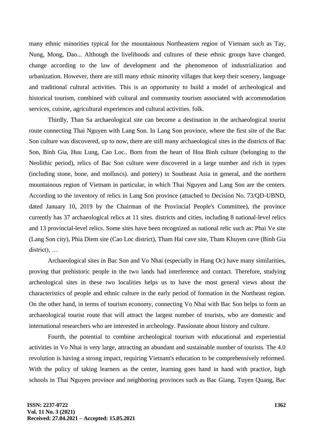many ethnic minorities typical for the mountainous Northeastern region of Vietnam such as Tay, Nung, Mong, Dao... Although the livelihoods and cultures of these ethnic groups have changed. change according to the law of development and the phenomenon of industrialization and urbanization. However, there are still many ethnic minority villages that keep their scenery, language and traditional cultural activities. This is an opportunity to build a model of archeological and historical tourism, combined with cultural and community tourism associated with accommodation services, cuisine, agricultural experiences and cultural activities. folk.

Thirdly, Than Sa archaeological site can become a destination in the archaeological tourist route connecting Thai Nguyen with Lang Son. In Lang Son province, where the first site of the Bac Son culture was discovered, up to now, there are still many archaeological sites in the districts of Bac Son, Binh Gia, Huu Lung, Cao Loc.. Born from the heart of Hoa Binh culture (belonging to the Neolithic period), relics of Bac Son culture were discovered in a large number and rich in types (including stone, bone, and molluscs). and pottery) in Southeast Asia in general, and the northern mountainous region of Vietnam in particular, in which Thai Nguyen and Lang Son are the centers. According to the inventory of relics in Lang Son province (attached to Decision No. 73/QD-UBND, dated January 10, 2019 by the Chairman of the Provincial People's Committee), the province currently has 37 archaeological relics at 11 sites. districts and cities, including 8 national-level relics and 13 provincial-level relics. Some sites have been recognized as national relic such as: Phai Ve site (Lang Son city), Phia Diem site (Cao Loc district), Tham Hai cave site, Tham Khuyen cave (Binh Gia district), …

Archaeological sites in Bac Son and Vo Nhai (especially in Hang Oc) have many similarities, proving that prehistoric people in the two lands had interference and contact. Therefore, studying archeological sites in these two localities helps us to have the most general views about the characteristics of people and ethnic culture in the early period of formation in the Northeast region. On the other hand, in terms of tourism economy, connecting Vo Nhai with Bac Son helps to form an archaeological tourist route that will attract the largest number of tourists, who are domestic and international researchers who are interested in archeology. Passionate about history and culture.

Fourth, the potential to combine archeological tourism with educational and experiential activities in Vo Nhai is very large, attracting an abundant and sustainable number of tourists. The 4.0 revolution is having a strong impact, requiring Vietnam's education to be comprehensively reformed. With the policy of taking learners as the center, learning goes hand in hand with practice, high schools in Thai Nguyen province and neighboring provinces such as Bac Giang, Tuyen Quang, Bac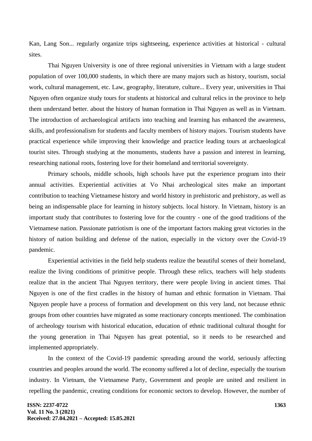Kan, Lang Son... regularly organize trips sightseeing, experience activities at historical - cultural sites.

Thai Nguyen University is one of three regional universities in Vietnam with a large student population of over 100,000 students, in which there are many majors such as history, tourism, social work, cultural management, etc. Law, geography, literature, culture... Every year, universities in Thai Nguyen often organize study tours for students at historical and cultural relics in the province to help them understand better. about the history of human formation in Thai Nguyen as well as in Vietnam. The introduction of archaeological artifacts into teaching and learning has enhanced the awareness, skills, and professionalism for students and faculty members of history majors. Tourism students have practical experience while improving their knowledge and practice leading tours at archaeological tourist sites. Through studying at the monuments, students have a passion and interest in learning, researching national roots, fostering love for their homeland and territorial sovereignty.

Primary schools, middle schools, high schools have put the experience program into their annual activities. Experiential activities at Vo Nhai archeological sites make an important contribution to teaching Vietnamese history and world history in prehistoric and prehistory, as well as being an indispensable place for learning in history subjects. local history. In Vietnam, history is an important study that contributes to fostering love for the country - one of the good traditions of the Vietnamese nation. Passionate patriotism is one of the important factors making great victories in the history of nation building and defense of the nation, especially in the victory over the Covid-19 pandemic.

Experiential activities in the field help students realize the beautiful scenes of their homeland, realize the living conditions of primitive people. Through these relics, teachers will help students realize that in the ancient Thai Nguyen territory, there were people living in ancient times. Thai Nguyen is one of the first cradles in the history of human and ethnic formation in Vietnam. Thai Nguyen people have a process of formation and development on this very land, not because ethnic groups from other countries have migrated as some reactionary concepts mentioned. The combination of archeology tourism with historical education, education of ethnic traditional cultural thought for the young generation in Thai Nguyen has great potential, so it needs to be researched and implemented appropriately.

In the context of the Covid-19 pandemic spreading around the world, seriously affecting countries and peoples around the world. The economy suffered a lot of decline, especially the tourism industry. In Vietnam, the Vietnamese Party, Government and people are united and resilient in repelling the pandemic, creating conditions for economic sectors to develop. However, the number of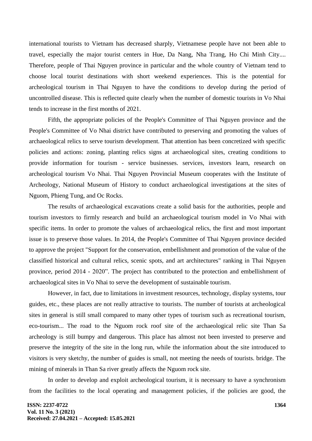international tourists to Vietnam has decreased sharply, Vietnamese people have not been able to travel, especially the major tourist centers in Hue, Da Nang, Nha Trang, Ho Chi Minh City.... Therefore, people of Thai Nguyen province in particular and the whole country of Vietnam tend to choose local tourist destinations with short weekend experiences. This is the potential for archeological tourism in Thai Nguyen to have the conditions to develop during the period of uncontrolled disease. This is reflected quite clearly when the number of domestic tourists in Vo Nhai tends to increase in the first months of 2021.

Fifth, the appropriate policies of the People's Committee of Thai Nguyen province and the People's Committee of Vo Nhai district have contributed to preserving and promoting the values of archaeological relics to serve tourism development. That attention has been concretized with specific policies and actions: zoning, planting relics signs at archaeological sites, creating conditions to provide information for tourism - service businesses. services, investors learn, research on archeological tourism Vo Nhai. Thai Nguyen Provincial Museum cooperates with the Institute of Archeology, National Museum of History to conduct archaeological investigations at the sites of Nguom, Phieng Tung, and Oc Rocks.

The results of archaeological excavations create a solid basis for the authorities, people and tourism investors to firmly research and build an archaeological tourism model in Vo Nhai with specific items. In order to promote the values of archaeological relics, the first and most important issue is to preserve those values. In 2014, the People's Committee of Thai Nguyen province decided to approve the project "Support for the conservation, embellishment and promotion of the value of the classified historical and cultural relics, scenic spots, and art architectures" ranking in Thai Nguyen province, period 2014 - 2020". The project has contributed to the protection and embellishment of archaeological sites in Vo Nhai to serve the development of sustainable tourism.

However, in fact, due to limitations in investment resources, technology, display systems, tour guides, etc., these places are not really attractive to tourists. The number of tourists at archeological sites in general is still small compared to many other types of tourism such as recreational tourism, eco-tourism... The road to the Nguom rock roof site of the archaeological relic site Than Sa archeology is still bumpy and dangerous. This place has almost not been invested to preserve and preserve the integrity of the site in the long run, while the information about the site introduced to visitors is very sketchy, the number of guides is small, not meeting the needs of tourists. bridge. The mining of minerals in Than Sa river greatly affects the Nguom rock site.

In order to develop and exploit archeological tourism, it is necessary to have a synchronism from the facilities to the local operating and management policies, if the policies are good, the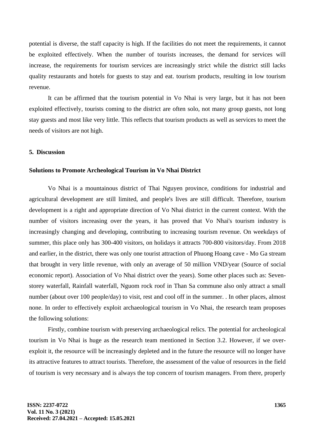potential is diverse, the staff capacity is high. If the facilities do not meet the requirements, it cannot be exploited effectively. When the number of tourists increases, the demand for services will increase, the requirements for tourism services are increasingly strict while the district still lacks quality restaurants and hotels for guests to stay and eat. tourism products, resulting in low tourism revenue.

It can be affirmed that the tourism potential in Vo Nhai is very large, but it has not been exploited effectively, tourists coming to the district are often solo, not many group guests, not long stay guests and most like very little. This reflects that tourism products as well as services to meet the needs of visitors are not high.

# **5. Discussion**

#### **Solutions to Promote Archeological Tourism in Vo Nhai District**

Vo Nhai is a mountainous district of Thai Nguyen province, conditions for industrial and agricultural development are still limited, and people's lives are still difficult. Therefore, tourism development is a right and appropriate direction of Vo Nhai district in the current context. With the number of visitors increasing over the years, it has proved that Vo Nhai's tourism industry is increasingly changing and developing, contributing to increasing tourism revenue. On weekdays of summer, this place only has 300-400 visitors, on holidays it attracts 700-800 visitors/day. From 2018 and earlier, in the district, there was only one tourist attraction of Phuong Hoang cave - Mo Ga stream that brought in very little revenue, with only an average of 50 million VND/year (Source of social economic report). Association of Vo Nhai district over the years). Some other places such as: Sevenstorey waterfall, Rainfall waterfall, Nguom rock roof in Than Sa commune also only attract a small number (about over 100 people/day) to visit, rest and cool off in the summer. . In other places, almost none. In order to effectively exploit archaeological tourism in Vo Nhai, the research team proposes the following solutions:

Firstly, combine tourism with preserving archaeological relics. The potential for archeological tourism in Vo Nhai is huge as the research team mentioned in Section 3.2. However, if we overexploit it, the resource will be increasingly depleted and in the future the resource will no longer have its attractive features to attract tourists. Therefore, the assessment of the value of resources in the field of tourism is very necessary and is always the top concern of tourism managers. From there, properly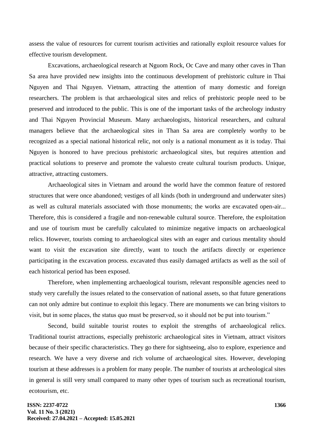assess the value of resources for current tourism activities and rationally exploit resource values for effective tourism development.

Excavations, archaeological research at Nguom Rock, Oc Cave and many other caves in Than Sa area have provided new insights into the continuous development of prehistoric culture in Thai Nguyen and Thai Nguyen. Vietnam, attracting the attention of many domestic and foreign researchers. The problem is that archaeological sites and relics of prehistoric people need to be preserved and introduced to the public. This is one of the important tasks of the archeology industry and Thai Nguyen Provincial Museum. Many archaeologists, historical researchers, and cultural managers believe that the archaeological sites in Than Sa area are completely worthy to be recognized as a special national historical relic, not only is a national monument as it is today. Thai Nguyen is honored to have precious prehistoric archaeological sites, but requires attention and practical solutions to preserve and promote the valuesto create cultural tourism products. Unique, attractive, attracting customers.

Archaeological sites in Vietnam and around the world have the common feature of restored structures that were once abandoned; vestiges of all kinds (both in underground and underwater sites) as well as cultural materials associated with those monuments; the works are excavated open-air... Therefore, this is considered a fragile and non-renewable cultural source. Therefore, the exploitation and use of tourism must be carefully calculated to minimize negative impacts on archaeological relics. However, tourists coming to archaeological sites with an eager and curious mentality should want to visit the excavation site directly, want to touch the artifacts directly or experience participating in the excavation process. excavated thus easily damaged artifacts as well as the soil of each historical period has been exposed.

Therefore, when implementing archaeological tourism, relevant responsible agencies need to study very carefully the issues related to the conservation of national assets, so that future generations can not only admire but continue to exploit this legacy. There are monuments we can bring visitors to visit, but in some places, the status quo must be preserved, so it should not be put into tourism."

Second, build suitable tourist routes to exploit the strengths of archaeological relics. Traditional tourist attractions, especially prehistoric archaeological sites in Vietnam, attract visitors because of their specific characteristics. They go there for sightseeing, also to explore, experience and research. We have a very diverse and rich volume of archaeological sites. However, developing tourism at these addresses is a problem for many people. The number of tourists at archeological sites in general is still very small compared to many other types of tourism such as recreational tourism, ecotourism, etc.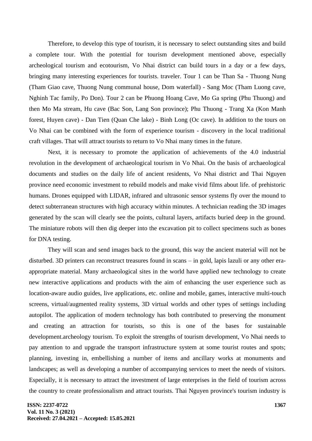Therefore, to develop this type of tourism, it is necessary to select outstanding sites and build a complete tour. With the potential for tourism development mentioned above, especially archeological tourism and ecotourism, Vo Nhai district can build tours in a day or a few days, bringing many interesting experiences for tourists. traveler. Tour 1 can be Than Sa - Thuong Nung (Tham Giao cave, Thuong Nung communal house, Dom waterfall) - Sang Moc (Tham Luong cave, Nghinh Tac family, Po Don). Tour 2 can be Phuong Hoang Cave, Mo Ga spring (Phu Thuong) and then Mo Ma stream, Hu cave (Bac Son, Lang Son province); Phu Thuong - Trang Xa (Kon Manh forest, Huyen cave) - Dan Tien (Quan Che lake) - Binh Long (Oc cave). In addition to the tours on Vo Nhai can be combined with the form of experience tourism - discovery in the local traditional craft villages. That will attract tourists to return to Vo Nhai many times in the future.

Next, it is necessary to promote the application of achievements of the 4.0 industrial revolution in the development of archaeological tourism in Vo Nhai. On the basis of archaeological documents and studies on the daily life of ancient residents, Vo Nhai district and Thai Nguyen province need economic investment to rebuild models and make vivid films about life. of prehistoric humans. Drones equipped with LIDAR, infrared and ultrasonic sensor systems fly over the mound to detect subterranean structures with high accuracy within minutes. A technician reading the 3D images generated by the scan will clearly see the points, cultural layers, artifacts buried deep in the ground. The miniature robots will then dig deeper into the excavation pit to collect specimens such as bones for DNA testing.

They will scan and send images back to the ground, this way the ancient material will not be disturbed. 3D printers can reconstruct treasures found in scans – in gold, lapis lazuli or any other eraappropriate material. Many archaeological sites in the world have applied new technology to create new interactive applications and products with the aim of enhancing the user experience such as location-aware audio guides, live applications, etc. online and mobile, games, interactive multi-touch screens, virtual/augmented reality systems, 3D virtual worlds and other types of settings including autopilot. The application of modern technology has both contributed to preserving the monument and creating an attraction for tourists, so this is one of the bases for sustainable development.archeology tourism. To exploit the strengths of tourism development, Vo Nhai needs to pay attention to and upgrade the transport infrastructure system at some tourist routes and spots; planning, investing in, embellishing a number of items and ancillary works at monuments and landscapes; as well as developing a number of accompanying services to meet the needs of visitors. Especially, it is necessary to attract the investment of large enterprises in the field of tourism across the country to create professionalism and attract tourists. Thai Nguyen province's tourism industry is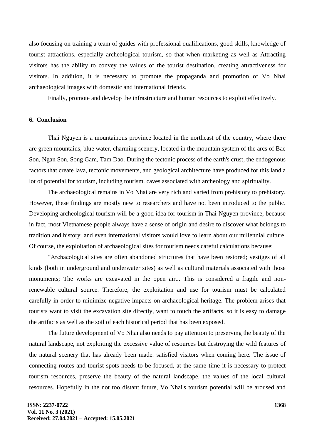also focusing on training a team of guides with professional qualifications, good skills, knowledge of tourist attractions, especially archeological tourism, so that when marketing as well as Attracting visitors has the ability to convey the values of the tourist destination, creating attractiveness for visitors. In addition, it is necessary to promote the propaganda and promotion of Vo Nhai archaeological images with domestic and international friends.

Finally, promote and develop the infrastructure and human resources to exploit effectively.

### **6. Conclusion**

Thai Nguyen is a mountainous province located in the northeast of the country, where there are green mountains, blue water, charming scenery, located in the mountain system of the arcs of Bac Son, Ngan Son, Song Gam, Tam Dao. During the tectonic process of the earth's crust, the endogenous factors that create lava, tectonic movements, and geological architecture have produced for this land a lot of potential for tourism, including tourism. caves associated with archeology and spirituality.

The archaeological remains in Vo Nhai are very rich and varied from prehistory to prehistory. However, these findings are mostly new to researchers and have not been introduced to the public. Developing archeological tourism will be a good idea for tourism in Thai Nguyen province, because in fact, most Vietnamese people always have a sense of origin and desire to discover what belongs to tradition and history. and even international visitors would love to learn about our millennial culture. Of course, the exploitation of archaeological sites for tourism needs careful calculations because:

"Archaeological sites are often abandoned structures that have been restored; vestiges of all kinds (both in underground and underwater sites) as well as cultural materials associated with those monuments; The works are excavated in the open air... This is considered a fragile and nonrenewable cultural source. Therefore, the exploitation and use for tourism must be calculated carefully in order to minimize negative impacts on archaeological heritage. The problem arises that tourists want to visit the excavation site directly, want to touch the artifacts, so it is easy to damage the artifacts as well as the soil of each historical period that has been exposed.

The future development of Vo Nhai also needs to pay attention to preserving the beauty of the natural landscape, not exploiting the excessive value of resources but destroying the wild features of the natural scenery that has already been made. satisfied visitors when coming here. The issue of connecting routes and tourist spots needs to be focused, at the same time it is necessary to protect tourism resources, preserve the beauty of the natural landscape, the values of the local cultural resources. Hopefully in the not too distant future, Vo Nhai's tourism potential will be aroused and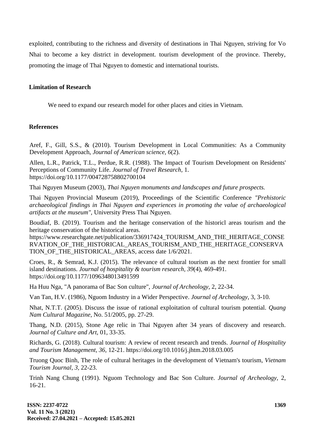exploited, contributing to the richness and diversity of destinations in Thai Nguyen, striving for Vo Nhai to become a key district in development. tourism development of the province. Thereby, promoting the image of Thai Nguyen to domestic and international tourists.

# **Limitation of Research**

We need to expand our research model for other places and cities in Vietnam.

# **References**

Aref, F., Gill, S.S., & (2010). Tourism Development in Local Communities: As a Community Development Approach, *Journal of American science, 6*(2).

Allen, L.R., Patrick, T.L., Perdue, R.R. (1988). The Impact of Tourism Development on Residents' Perceptions of Community Life. *Journal of Travel Research,* 1. https://doi.org/10.1177/004728758802700104

Thai Nguyen Museum (2003), *Thai Nguyen monuments and landscapes and future prospects.*

Thai Nguyen Provincial Museum (2019), Proceedings of the Scientific Conference *"Prehistoric archaeological findings in Thai Nguyen and experiences in promoting the value of archaeological artifacts at the museum",* University Press Thai Nguyen.

Boudiaf, B. (2019). Tourism and the heritage conservation of the historicl areas tourism and the heritage conservation of the historical areas.

https://www.researchgate.net/publication/336917424\_TOURISM\_AND\_THE\_HERITAGE\_CONSE RVATION OF THE HISTORICAL AREAS TOURISM AND THE HERITAGE CONSERVA TION OF THE HISTORICAL AREAS, access date  $1/6/2021$ .

Croes, R., & Semrad, K.J. (2015). The relevance of cultural tourism as the next frontier for small island destinations. *Journal of hospitality & tourism research, 39*(4), 469-491. https://doi.org/10.1177/1096348013491599

Ha Huu Nga, "A panorama of Bac Son culture", *Journal of Archeology,* 2, 22-34.

Van Tan, H.V. (1986), Nguom Industry in a Wider Perspective. *Journal of Archeology,* 3, 3-10.

Nhat, N.T.T. (2005). Discuss the issue of rational exploitation of cultural tourism potential. *Quang Nam Cultural Magazine,* No. 51/2005, pp. 27-29.

Thang, N.D. (2015), Stone Age relic in Thai Nguyen after 34 years of discovery and research. *Journal of Culture and Art,* 01, 33-35.

Richards, G. (2018). Cultural tourism: A review of recent research and trends*. Journal of Hospitality and Tourism Management, 36,* 12-21. https://doi.org/10.1016/j.jhtm.2018.03.005

Truong Quoc Binh, The role of cultural heritages in the development of Vietnam's tourism, *Vietnam Tourism Journal, 3,* 22-23.

Trinh Nang Chung (1991). Nguom Technology and Bac Son Culture. *Journal of Archeology,* 2, 16-21.